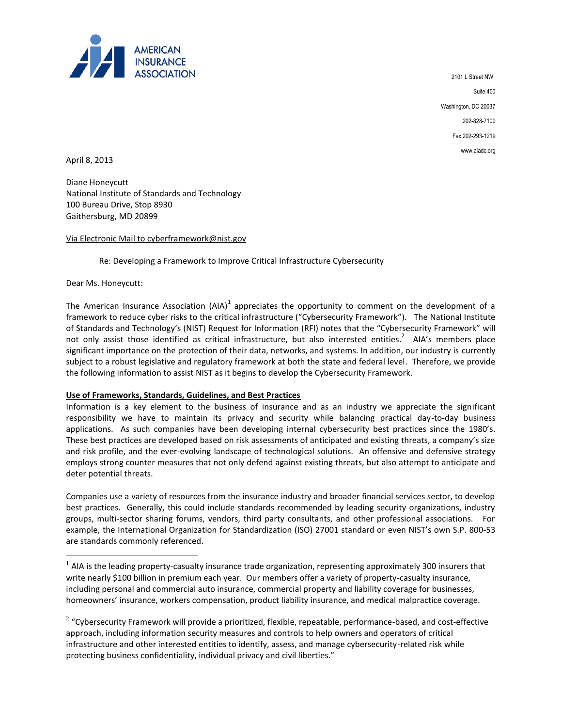

 2101 L Street NW Suite 400 Washington, DC 20037 202-828-7100 Fax 202-293-1219 www.aiadc.org

April 8, 2013

Diane Honeycutt National Institute of Standards and Technology 100 Bureau Drive, Stop 8930 Gaithersburg, MD 20899

## Via Electronic Mail to cyberframework@nist.gov

Re: Developing a Framework to Improve Critical Infrastructure Cybersecurity

Dear Ms. Honeycutt:

 $\overline{a}$ 

The American Insurance Association (AIA)<sup>1</sup> appreciates the opportunity to comment on the development of a framework to reduce cyber risks to the critical infrastructure ("Cybersecurity Framework"). The National Institute of Standards and Technology's (NIST) Request for Information (RFI) notes that the "Cybersecurity Framework" will not only assist those identified as critical infrastructure, but also interested entities.<sup>2</sup> AIA's members place significant importance on the protection of their data, networks, and systems. In addition, our industry is currently subject to a robust legislative and regulatory framework at both the state and federal level. Therefore, we provide the following information to assist NIST as it begins to develop the Cybersecurity Framework.

## **Use of Frameworks, Standards, Guidelines, and Best Practices**

Information is a key element to the business of insurance and as an industry we appreciate the significant responsibility we have to maintain its privacy and security while balancing practical day-to-day business applications. As such companies have been developing internal cybersecurity best practices since the 1980's. These best practices are developed based on risk assessments of anticipated and existing threats, a company's size and risk profile, and the ever-evolving landscape of technological solutions. An offensive and defensive strategy employs strong counter measures that not only defend against existing threats, but also attempt to anticipate and deter potential threats.

Companies use a variety of resources from the insurance industry and broader financial services sector, to develop best practices. Generally, this could include standards recommended by leading security organizations, industry groups, multi-sector sharing forums, vendors, third party consultants, and other professional associations. For example, the International Organization for Standardization (ISO) 27001 standard or even NIST's own S.P. 800-53 are standards commonly referenced.

 $^1$  AIA is the leading property-casualty insurance trade organization, representing approximately 300 insurers that write nearly \$100 billion in premium each year. Our members offer a variety of property-casualty insurance, including personal and commercial auto insurance, commercial property and liability coverage for businesses, homeowners' insurance, workers compensation, product liability insurance, and medical malpractice coverage.

 $2$  "Cybersecurity Framework will provide a prioritized, flexible, repeatable, performance-based, and cost-effective approach, including information security measures and controls to help owners and operators of critical infrastructure and other interested entities to identify, assess, and manage cybersecurity-related risk while protecting business confidentiality, individual privacy and civil liberties."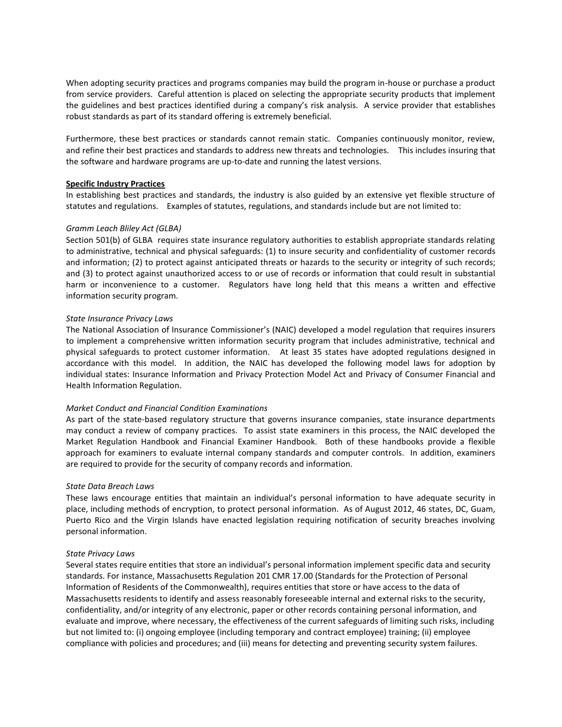When adopting security practices and programs companies may build the program in-house or purchase a product from service providers. Careful attention is placed on selecting the appropriate security products that implement the guidelines and best practices identified during a company's risk analysis. A service provider that establishes robust standards as part of its standard offering is extremely beneficial.

Furthermore, these best practices or standards cannot remain static. Companies continuously monitor, review, and refine their best practices and standards to address new threats and technologies. This includes insuring that the software and hardware programs are up-to-date and running the latest versions.

# **Specific Industry Practices**

In establishing best practices and standards, the industry is also guided by an extensive yet flexible structure of statutes and regulations. Examples of statutes, regulations, and standards include but are not limited to:

## *Gramm Leach Bliley Act (GLBA)*

Section 501(b) of GLBA requires state insurance regulatory authorities to establish appropriate standards relating to administrative, technical and physical safeguards: (1) to insure security and confidentiality of customer records and information; (2) to protect against anticipated threats or hazards to the security or integrity of such records; and (3) to protect against unauthorized access to or use of records or information that could result in substantial harm or inconvenience to a customer. Regulators have long held that this means a written and effective information security program.

## *State Insurance Privacy Laws*

The National Association of Insurance Commissioner's (NAIC) developed a model regulation that requires insurers to implement a comprehensive written information security program that includes administrative, technical and physical safeguards to protect customer information. At least 35 states have adopted regulations designed in accordance with this model. In addition, the NAIC has developed the following model laws for adoption by individual states: Insurance Information and Privacy Protection Model Act and Privacy of Consumer Financial and Health Information Regulation.

## *Market Conduct and Financial Condition Examinations*

As part of the state-based regulatory structure that governs insurance companies, state insurance departments may conduct a review of company practices. To assist state examiners in this process, the NAIC developed the Market Regulation Handbook and Financial Examiner Handbook. Both of these handbooks provide a flexible approach for examiners to evaluate internal company standards and computer controls. In addition, examiners are required to provide for the security of company records and information.

## *State Data Breach Laws*

These laws encourage entities that maintain an individual's personal information to have adequate security in place, including methods of encryption, to protect personal information. As of August 2012, 46 states, DC, Guam, Puerto Rico and the Virgin Islands have enacted legislation requiring notification of security breaches involving personal information.

## *State Privacy Laws*

Several states require entities that store an individual's personal information implement specific data and security standards. For instance, Massachusetts Regulation 201 CMR 17.00 (Standards for the Protection of Personal Information of Residents of the Commonwealth), requires entities that store or have access to the data of Massachusetts residents to identify and assess reasonably foreseeable internal and external risks to the security, confidentiality, and/or integrity of any electronic, paper or other records containing personal information, and evaluate and improve, where necessary, the effectiveness of the current safeguards of limiting such risks, including but not limited to: (i) ongoing employee (including temporary and contract employee) training; (ii) employee compliance with policies and procedures; and (iii) means for detecting and preventing security system failures.